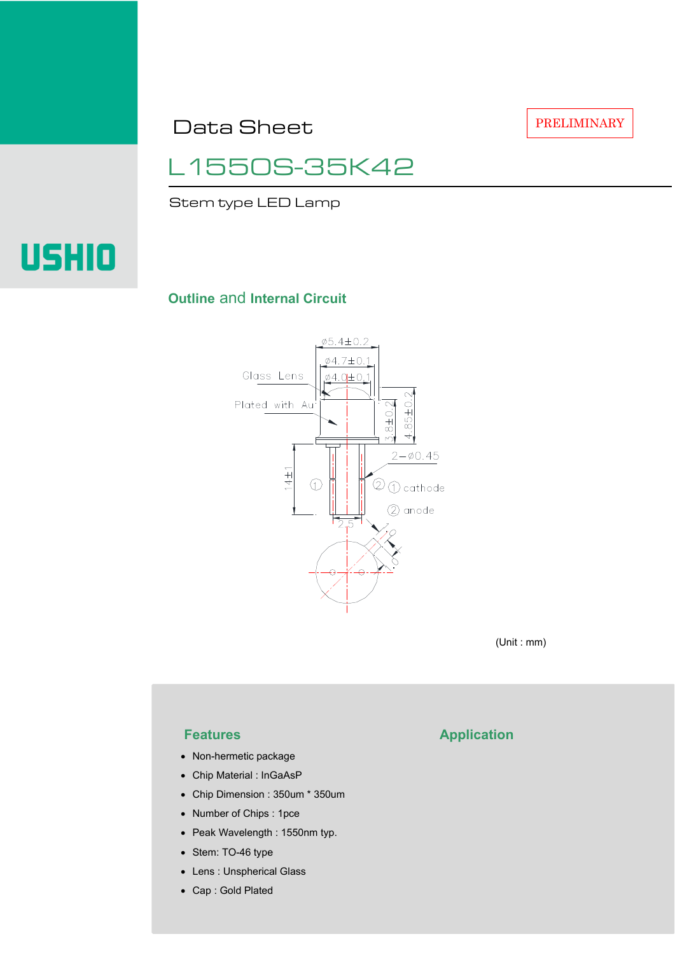Data Sheet

PRELIMINARY

# L1550S-35K42

Stem type LED Lamp



### **Outline** and **Internal Circuit**



(Unit : mm)

- Non-hermetic package
- Chip Material : InGaAsP
- Chip Dimension : 350um \* 350um
- Number of Chips : 1pce
- Peak Wavelength : 1550nm typ.
- Stem: TO-46 type
- Lens : Unspherical Glass
- Cap : Gold Plated

## **Features Application**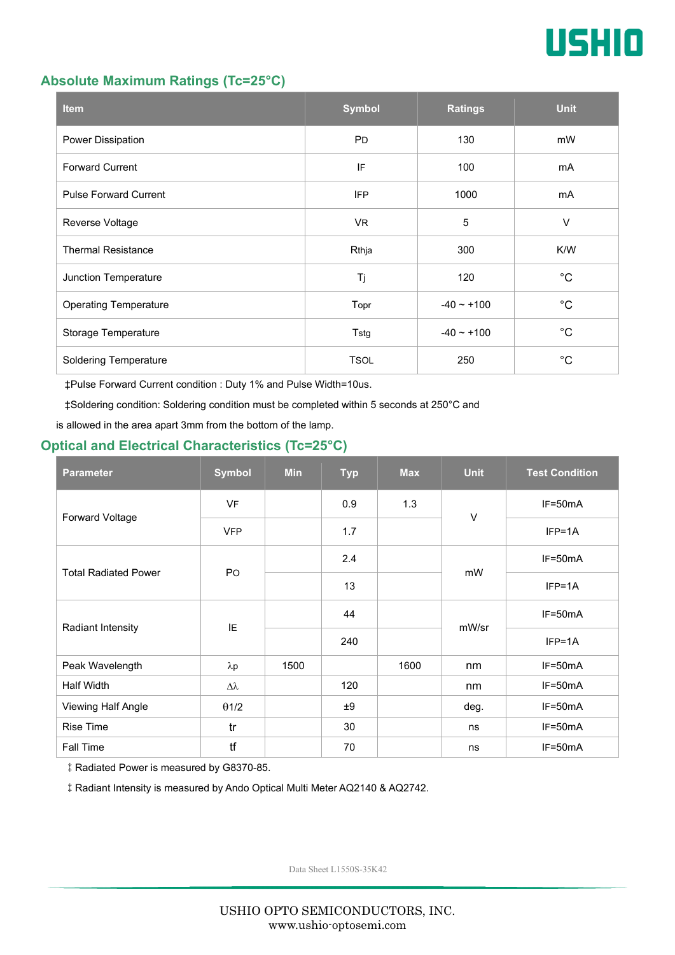

#### **Absolute Maximum Ratings (Tc=25°C)**

| <b>Item</b>                  | <b>Symbol</b> | <b>Ratings</b> | <b>Unit</b> |
|------------------------------|---------------|----------------|-------------|
| Power Dissipation            | <b>PD</b>     | 130            | mW          |
| <b>Forward Current</b>       | IF            | 100            |             |
| <b>Pulse Forward Current</b> | <b>IFP</b>    | 1000           | mA          |
| Reverse Voltage              | VR.           | 5              | $\vee$      |
| <b>Thermal Resistance</b>    | Rthja         | 300            | K/W         |
| Junction Temperature         | Tj            | 120            | $^{\circ}C$ |
| <b>Operating Temperature</b> | Topr          | $-40 - +100$   | $^{\circ}C$ |
| Storage Temperature          | Tstg          | $-40 - +100$   | $^{\circ}C$ |
| <b>Soldering Temperature</b> | <b>TSOL</b>   | 250            | $^{\circ}C$ |

‡Pulse Forward Current condition : Duty 1% and Pulse Width=10us.

‡Soldering condition: Soldering condition must be completed within 5 seconds at 250°C and

is allowed in the area apart 3mm from the bottom of the lamp.

### **Optical and Electrical Characteristics (Tc=25°C)**

| <b>Parameter</b>            | <b>Symbol</b>    | <b>Min</b> | <b>Typ</b> | <b>Max</b> | <b>Unit</b> | <b>Test Condition</b> |
|-----------------------------|------------------|------------|------------|------------|-------------|-----------------------|
| Forward Voltage             | <b>VF</b>        |            | 0.9        | 1.3        | $\vee$      | IF=50mA               |
|                             | <b>VFP</b>       |            | 1.7        |            |             | $IFP=1A$              |
| <b>Total Radiated Power</b> | P <sub>O</sub>   |            | 2.4        |            | mW          | $IF=50mA$             |
|                             |                  |            | 13         |            |             | $IFP=1A$              |
| Radiant Intensity           | IE               |            | 44         |            | mW/sr       | $IF=50mA$             |
|                             |                  |            | 240        |            |             | $IFP=1A$              |
| Peak Wavelength             | $\lambda$ p      | 1500       |            | 1600       | nm          | $IF=50mA$             |
| <b>Half Width</b>           | $\Delta \lambda$ |            | 120        |            | nm          | $IF=50mA$             |
| Viewing Half Angle          | $\theta$ 1/2     |            | ±9         |            | deg.        | $IF=50mA$             |
| <b>Rise Time</b>            | tr               |            | 30         |            | ns          | $IF=50mA$             |
| Fall Time                   | tf               |            | 70         |            | ns          | $IF=50mA$             |

‡Radiated Power is measured by G8370-85.

‡Radiant Intensity is measured by Ando Optical Multi Meter AQ2140 & AQ2742.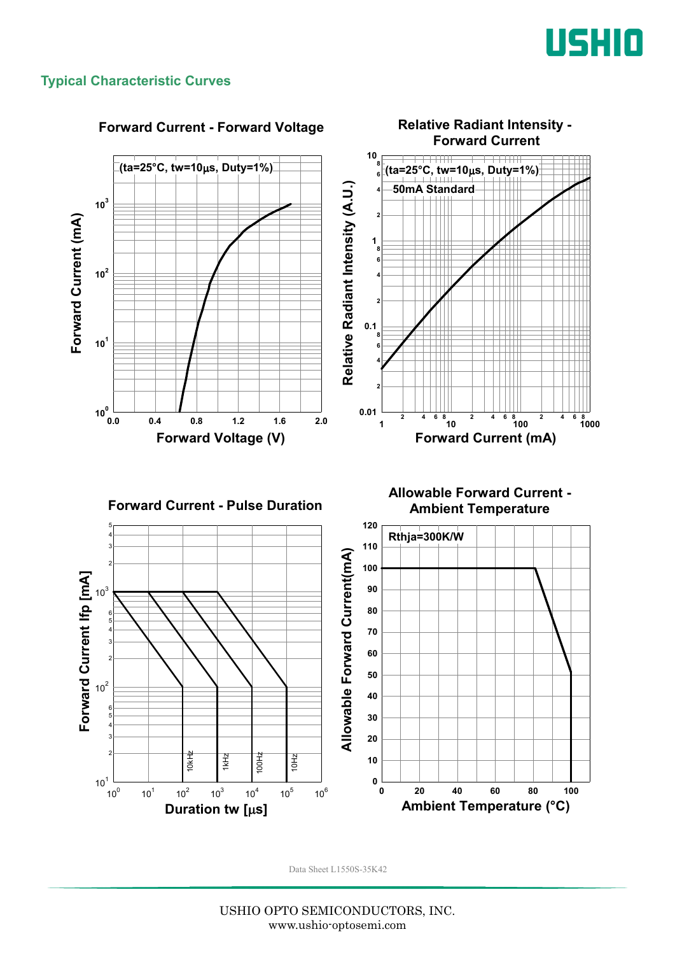

#### **Typical Characteristic Curves**

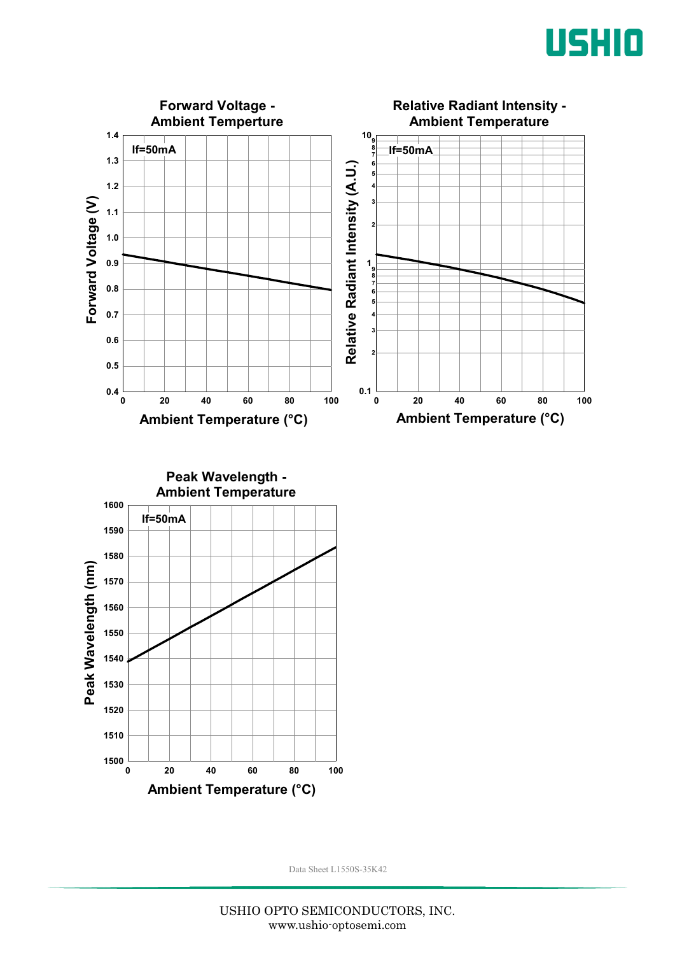



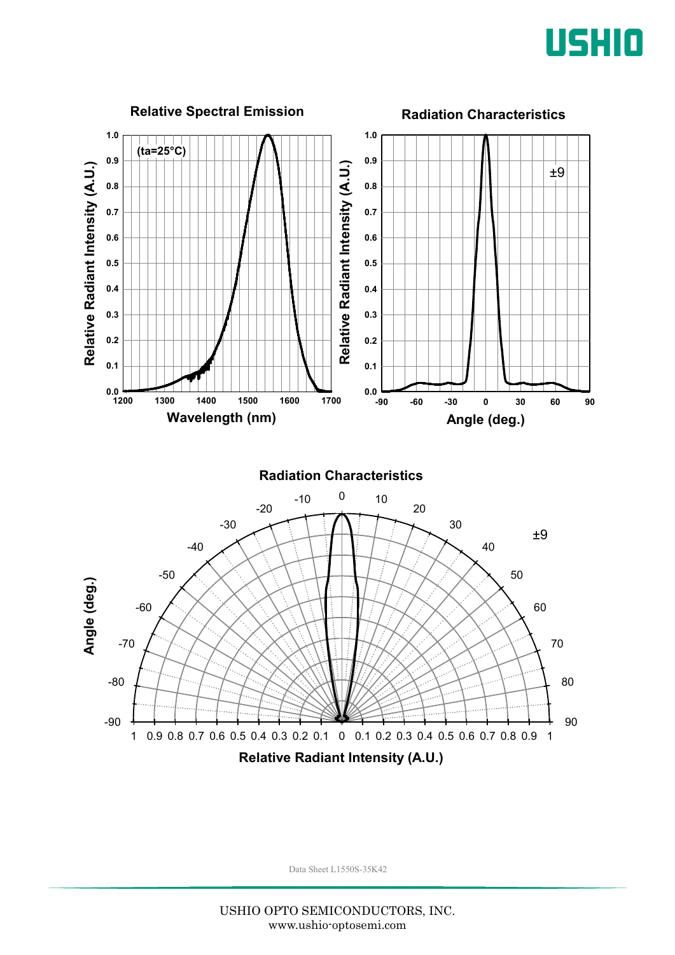